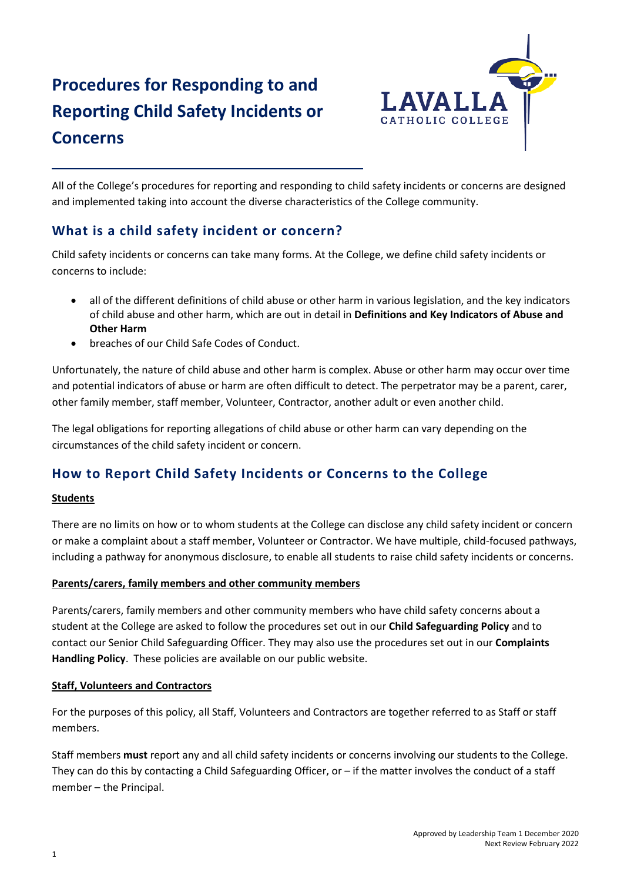# **Procedures for Responding to and Reporting Child Safety Incidents or Concerns**



All of the College's procedures for reporting and responding to child safety incidents or concerns are designed and implemented taking into account the diverse characteristics of the College community.

### **What is a child safety incident or concern?**

Child safety incidents or concerns can take many forms. At the College, we define child safety incidents or concerns to include:

- all of the different definitions of child abuse or other harm in various legislation, and the key indicators of child abuse and other harm, which are out in detail in **Definitions and Key Indicators of Abuse and Other Harm**
- breaches of our Child Safe Codes of Conduct.

Unfortunately, the nature of child abuse and other harm is complex. Abuse or other harm may occur over time and potential indicators of abuse or harm are often difficult to detect. The perpetrator may be a parent, carer, other family member, staff member, Volunteer, Contractor, another adult or even another child.

The legal obligations for reporting allegations of child abuse or other harm can vary depending on the circumstances of the child safety incident or concern.

### **How to Report Child Safety Incidents or Concerns to the College**

#### **Students**

There are no limits on how or to whom students at the College can disclose any child safety incident or concern or make a complaint about a staff member, Volunteer or Contractor. We have multiple, child-focused pathways, including a pathway for anonymous disclosure, to enable all students to raise child safety incidents or concerns.

#### **Parents/carers, family members and other community members**

Parents/carers, family members and other community members who have child safety concerns about a student at the College are asked to follow the procedures set out in our **Child Safeguarding Policy** and to contact our Senior Child Safeguarding Officer. They may also use the procedures set out in our **Complaints Handling Policy**. These policies are available on our public website.

#### **Staff, Volunteers and Contractors**

For the purposes of this policy, all Staff, Volunteers and Contractors are together referred to as Staff or staff members.

Staff members **must** report any and all child safety incidents or concerns involving our students to the College. They can do this by contacting a Child Safeguarding Officer, or – if the matter involves the conduct of a staff member – the Principal.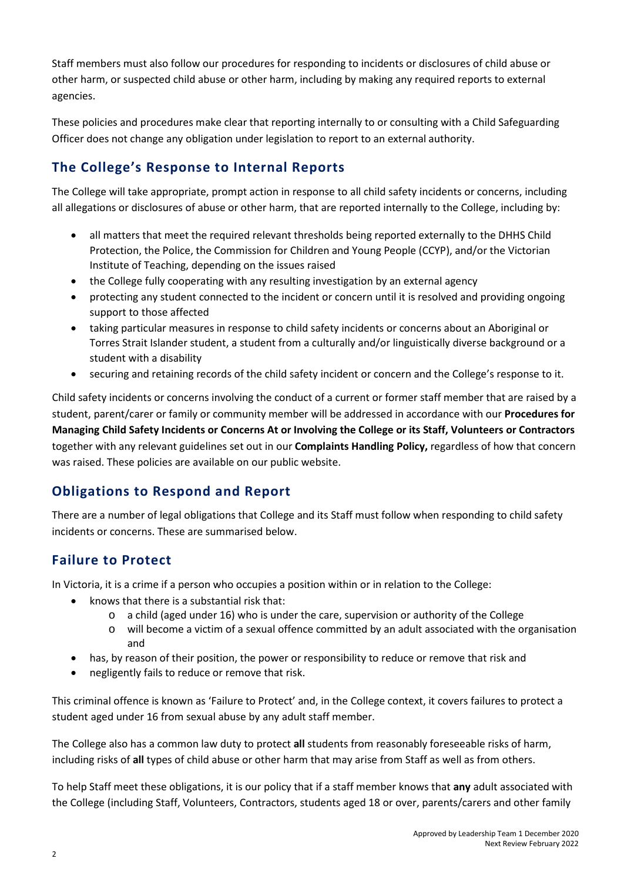Staff members must also follow our procedures for responding to incidents or disclosures of child abuse or other harm, or suspected child abuse or other harm, including by making any required reports to external agencies.

These policies and procedures make clear that reporting internally to or consulting with a Child Safeguarding Officer does not change any obligation under legislation to report to an external authority.

# **The College's Response to Internal Reports**

The College will take appropriate, prompt action in response to all child safety incidents or concerns, including all allegations or disclosures of abuse or other harm, that are reported internally to the College, including by:

- all matters that meet the required relevant thresholds being reported externally to the DHHS Child Protection, the Police, the Commission for Children and Young People (CCYP), and/or the Victorian Institute of Teaching, depending on the issues raised
- the College fully cooperating with any resulting investigation by an external agency
- protecting any student connected to the incident or concern until it is resolved and providing ongoing support to those affected
- taking particular measures in response to child safety incidents or concerns about an Aboriginal or Torres Strait Islander student, a student from a culturally and/or linguistically diverse background or a student with a disability
- securing and retaining records of the child safety incident or concern and the College's response to it.

Child safety incidents or concerns involving the conduct of a current or former staff member that are raised by a student, parent/carer or family or community member will be addressed in accordance with our **Procedures for Managing Child Safety Incidents or Concerns At or Involving the College or its Staff, Volunteers or Contractors** together with any relevant guidelines set out in our **Complaints Handling Policy,** regardless of how that concern was raised. These policies are available on our public website.

# **Obligations to Respond and Report**

There are a number of legal obligations that College and its Staff must follow when responding to child safety incidents or concerns. These are summarised below.

### **Failure to Protect**

In Victoria, it is a crime if a person who occupies a position within or in relation to the College:

- knows that there is a substantial risk that:
	- $\circ$  a child (aged under 16) who is under the care, supervision or authority of the College
	- o will become a victim of a sexual offence committed by an adult associated with the organisation and
- has, by reason of their position, the power or responsibility to reduce or remove that risk and
- negligently fails to reduce or remove that risk.

This criminal offence is known as 'Failure to Protect' and, in the College context, it covers failures to protect a student aged under 16 from sexual abuse by any adult staff member.

The College also has a common law duty to protect **all** students from reasonably foreseeable risks of harm, including risks of **all** types of child abuse or other harm that may arise from Staff as well as from others.

To help Staff meet these obligations, it is our policy that if a staff member knows that **any** adult associated with the College (including Staff, Volunteers, Contractors, students aged 18 or over, parents/carers and other family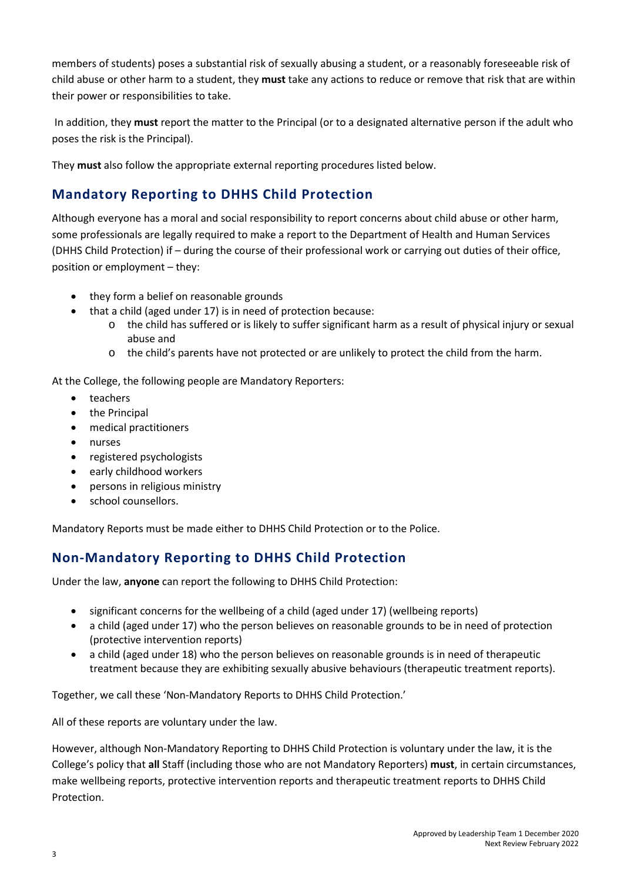members of students) poses a substantial risk of sexually abusing a student, or a reasonably foreseeable risk of child abuse or other harm to a student, they **must** take any actions to reduce or remove that risk that are within their power or responsibilities to take.

In addition, they **must** report the matter to the Principal (or to a designated alternative person if the adult who poses the risk is the Principal).

They **must** also follow the appropriate external reporting procedures listed below.

### **Mandatory Reporting to DHHS Child Protection**

Although everyone has a moral and social responsibility to report concerns about child abuse or other harm, some professionals are legally required to make a report to the Department of Health and Human Services (DHHS Child Protection) if – during the course of their professional work or carrying out duties of their office, position or employment – they:

- they form a belief on reasonable grounds
	- that a child (aged under 17) is in need of protection because:
		- $\circ$  the child has suffered or is likely to suffer significant harm as a result of physical injury or sexual abuse and
		- o the child's parents have not protected or are unlikely to protect the child from the harm.

At the College, the following people are Mandatory Reporters:

- teachers
- the Principal
- medical practitioners
- nurses
- registered psychologists
- early childhood workers
- persons in religious ministry
- school counsellors.

Mandatory Reports must be made either to DHHS Child Protection or to the Police.

### **Non-Mandatory Reporting to DHHS Child Protection**

Under the law, **anyone** can report the following to DHHS Child Protection:

- significant concerns for the wellbeing of a child (aged under 17) (wellbeing reports)
- a child (aged under 17) who the person believes on reasonable grounds to be in need of protection (protective intervention reports)
- a child (aged under 18) who the person believes on reasonable grounds is in need of therapeutic treatment because they are exhibiting sexually abusive behaviours (therapeutic treatment reports).

Together, we call these 'Non-Mandatory Reports to DHHS Child Protection.'

All of these reports are voluntary under the law.

However, although Non-Mandatory Reporting to DHHS Child Protection is voluntary under the law, it is the College's policy that **all** Staff (including those who are not Mandatory Reporters) **must**, in certain circumstances, make wellbeing reports, protective intervention reports and therapeutic treatment reports to DHHS Child Protection.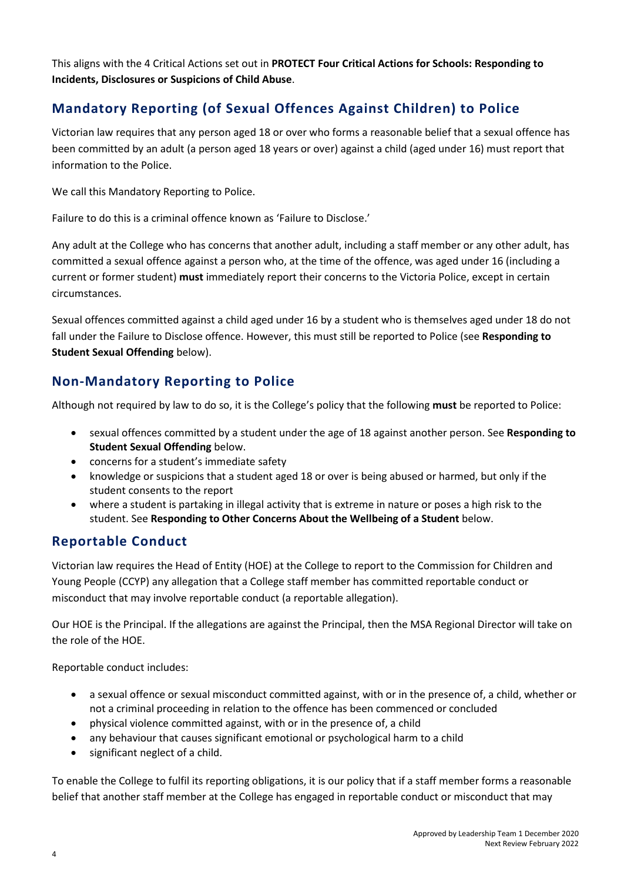This aligns with the 4 Critical Actions set out in **PROTECT Four Critical Actions for Schools: Responding to Incidents, Disclosures or Suspicions of Child Abuse**.

#### **Mandatory Reporting (of Sexual Offences Against Children) to Police**

Victorian law requires that any person aged 18 or over who forms a reasonable belief that a sexual offence has been committed by an adult (a person aged 18 years or over) against a child (aged under 16) must report that information to the Police.

We call this Mandatory Reporting to Police.

Failure to do this is a criminal offence known as 'Failure to Disclose.'

Any adult at the College who has concerns that another adult, including a staff member or any other adult, has committed a sexual offence against a person who, at the time of the offence, was aged under 16 (including a current or former student) **must** immediately report their concerns to the Victoria Police, except in certain circumstances.

Sexual offences committed against a child aged under 16 by a student who is themselves aged under 18 do not fall under the Failure to Disclose offence. However, this must still be reported to Police (see **Responding to Student Sexual Offending** below).

### **Non-Mandatory Reporting to Police**

Although not required by law to do so, it is the College's policy that the following **must** be reported to Police:

- sexual offences committed by a student under the age of 18 against another person. See **Responding to Student Sexual Offending** below.
- concerns for a student's immediate safety
- knowledge or suspicions that a student aged 18 or over is being abused or harmed, but only if the student consents to the report
- where a student is partaking in illegal activity that is extreme in nature or poses a high risk to the student. See **Responding to Other Concerns About the Wellbeing of a Student** below.

#### **Reportable Conduct**

Victorian law requires the Head of Entity (HOE) at the College to report to the Commission for Children and Young People (CCYP) any allegation that a College staff member has committed reportable conduct or misconduct that may involve reportable conduct (a reportable allegation).

Our HOE is the Principal. If the allegations are against the Principal, then the MSA Regional Director will take on the role of the HOE.

Reportable conduct includes:

- a sexual offence or sexual misconduct committed against, with or in the presence of, a child, whether or not a criminal proceeding in relation to the offence has been commenced or concluded
- physical violence committed against, with or in the presence of, a child
- any behaviour that causes significant emotional or psychological harm to a child
- significant neglect of a child.

To enable the College to fulfil its reporting obligations, it is our policy that if a staff member forms a reasonable belief that another staff member at the College has engaged in reportable conduct or misconduct that may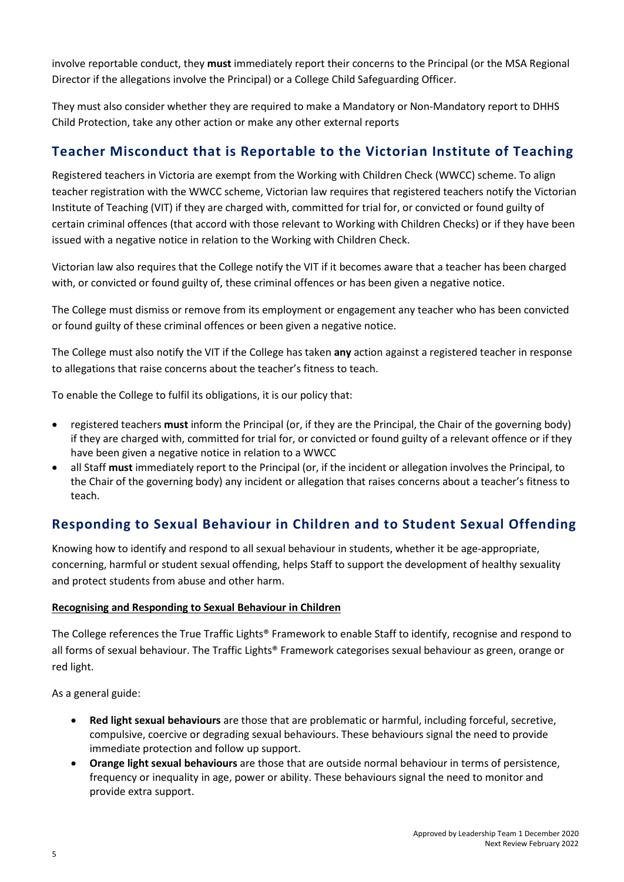involve reportable conduct, they **must** immediately report their concerns to the Principal (or the MSA Regional Director if the allegations involve the Principal) or a College Child Safeguarding Officer.

They must also consider whether they are required to make a Mandatory or Non-Mandatory report to DHHS Child Protection, take any other action or make any other external reports

### **Teacher Misconduct that is Reportable to the Victorian Institute of Teaching**

Registered teachers in Victoria are exempt from the Working with Children Check (WWCC) scheme. To align teacher registration with the WWCC scheme, Victorian law requires that registered teachers notify the Victorian Institute of Teaching (VIT) if they are charged with, committed for trial for, or convicted or found guilty of certain criminal offences (that accord with those relevant to Working with Children Checks) or if they have been issued with a negative notice in relation to the Working with Children Check.

Victorian law also requires that the College notify the VIT if it becomes aware that a teacher has been charged with, or convicted or found guilty of, these criminal offences or has been given a negative notice.

The College must dismiss or remove from its employment or engagement any teacher who has been convicted or found guilty of these criminal offences or been given a negative notice.

The College must also notify the VIT if the College has taken **any** action against a registered teacher in response to allegations that raise concerns about the teacher's fitness to teach.

To enable the College to fulfil its obligations, it is our policy that:

- registered teachers **must** inform the Principal (or, if they are the Principal, the Chair of the governing body) if they are charged with, committed for trial for, or convicted or found guilty of a relevant offence or if they have been given a negative notice in relation to a WWCC
- all Staff **must** immediately report to the Principal (or, if the incident or allegation involves the Principal, to the Chair of the governing body) any incident or allegation that raises concerns about a teacher's fitness to teach.

### **Responding to Sexual Behaviour in Children and to Student Sexual Offending**

Knowing how to identify and respond to all sexual behaviour in students, whether it be age-appropriate, concerning, harmful or student sexual offending, helps Staff to support the development of healthy sexuality and protect students from abuse and other harm.

#### **Recognising and Responding to Sexual Behaviour in Children**

The College references the True Traffic Lights® Framework to enable Staff to identify, recognise and respond to all forms of sexual behaviour. The Traffic Lights® Framework categorises sexual behaviour as green, orange or red light.

As a general guide:

- **Red light sexual behaviours** are those that are problematic or harmful, including forceful, secretive, compulsive, coercive or degrading sexual behaviours. These behaviours signal the need to provide immediate protection and follow up support.
- **Orange light sexual behaviours** are those that are outside normal behaviour in terms of persistence, frequency or inequality in age, power or ability. These behaviours signal the need to monitor and provide extra support.